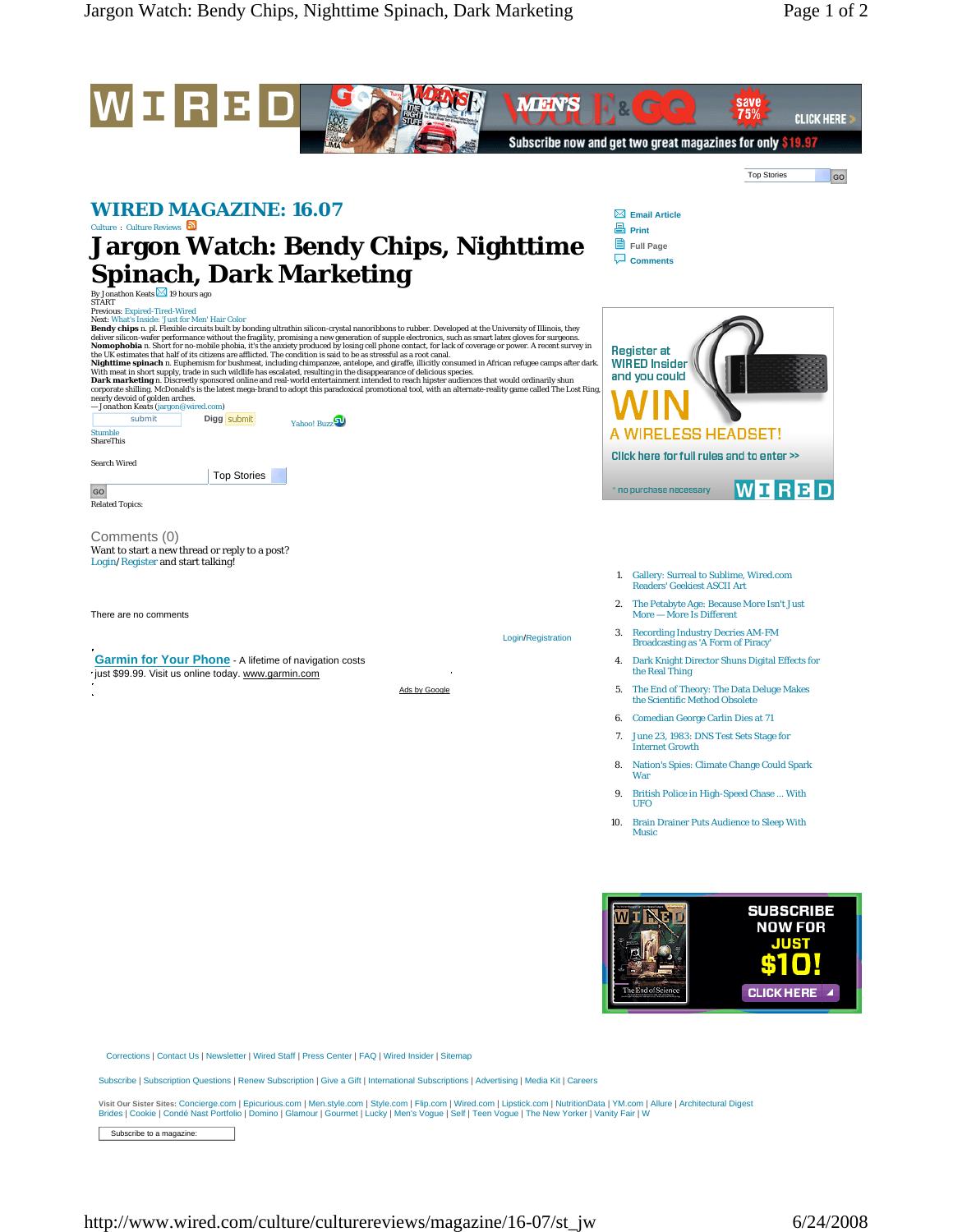

Corrections | Contact Us | Newsletter | Wired Staff | Press Center | FAQ | Wired Insider | Sitemap

Subscribe | Subscription Questions | Renew Subscription | Give a Gift | International Subscriptions | Advertising | Media Kit | Careers

Visit Our Sister Sites: Concierge.com | Epicurious.com | Men.style.com | Style.com | Wired.com | Lipstick.com | NutritionData | YM.com | Allure | Architectural Digest<br>Brides | Cookie | Condé Nast Portfolio | Domino | Glamo

Subscribe to a magazine: